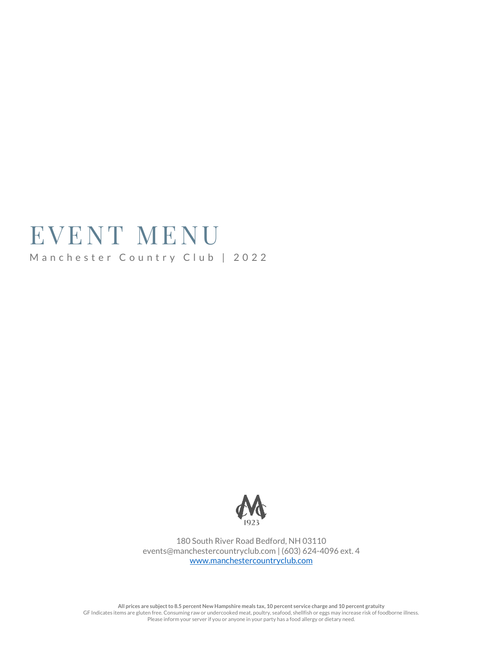# EVENT MENU Manchester Country Club | 2022



180 South River Road Bedford, NH 03110 events@manchestercountryclub.com | (603) 624-4096 ext. 4 [www.manchestercountryclub.com](http://www.manchestercountryclub.com/)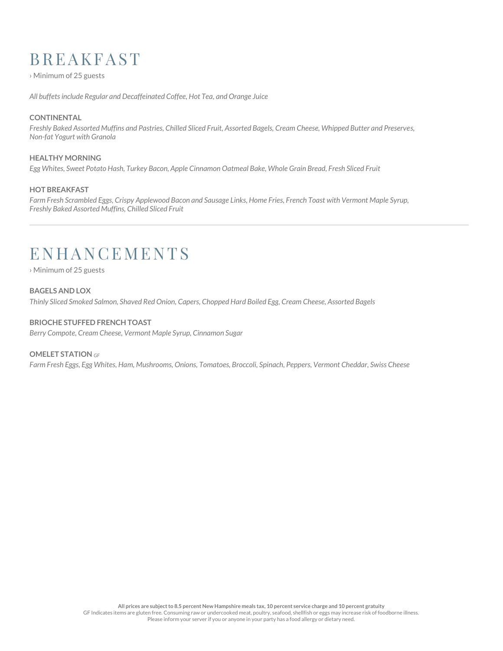## **B R E A K F A S T**

› Minimum of 25 guests

*All buffets include Regular and Decaffeinated Coffee, Hot Tea, and Orange Juice*

#### **CONTINENTAL**

*Freshly Baked Assorted Muffins and Pastries, Chilled Sliced Fruit, Assorted Bagels, Cream Cheese, Whipped Butter and Preserves, Non-fat Yogurt with Granola*

#### **HEALTHY MORNING**

*Egg Whites, Sweet Potato Hash, Turkey Bacon, Apple Cinnamon Oatmeal Bake, Whole Grain Bread, Fresh Sliced Fruit*

#### **HOT BREAKFAST**

*Farm Fresh Scrambled Eggs, Crispy Applewood Bacon and Sausage Links, Home Fries, French Toast with Vermont Maple Syrup, Freshly Baked Assorted Muffins, Chilled Sliced Fruit*

# **ENHANCEMENTS**

› Minimum of 25 guests

#### **BAGELS AND LOX**

*Thinly Sliced Smoked Salmon, Shaved Red Onion, Capers, Chopped Hard Boiled Egg, Cream Cheese, Assorted Bagels*

#### **BRIOCHE STUFFED FRENCH TOAST**

*Berry Compote, Cream Cheese, Vermont Maple Syrup, Cinnamon Sugar*

#### **OMELET STATION** *GF*

*Farm Fresh Eggs, Egg Whites, Ham, Mushrooms, Onions, Tomatoes, Broccoli, Spinach, Peppers, Vermont Cheddar, Swiss Cheese*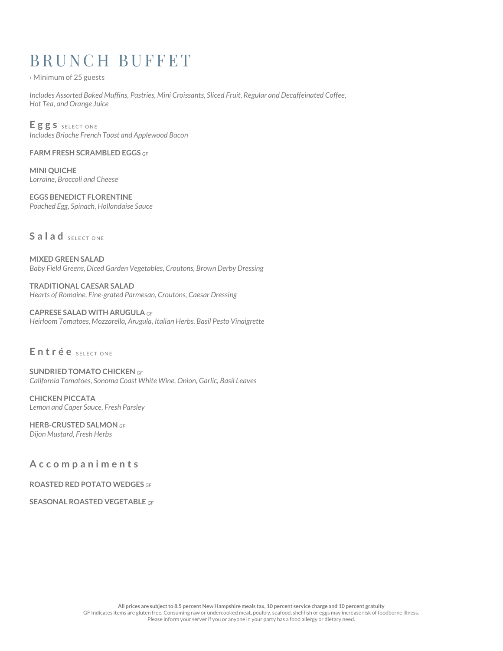# BRUNCH BUFFET

› Minimum of 25 guests

*Includes Assorted Baked Muffins, Pastries, Mini Croissants, Sliced Fruit, Regular and Decaffeinated Coffee, Hot Tea, and Orange Juice*

Eggs s SELECT ONE *Includes Brioche French Toast and Applewood Bacon*

**FARM FRESH SCRAMBLED EGGS** *GF* 

**MINI QUICHE**  *Lorraine, Broccoli and Cheese*

**EGGS BENEDICT FLORENTINE** *Poached Egg, Spinach, Hollandaise Sauce*

## Salad SELECT ONE

**MIXED GREEN SALAD**  *Baby Field Greens, Diced Garden Vegetables, Croutons, Brown Derby Dressing*

**TRADITIONAL CAESAR SALAD**  *Hearts of Romaine, Fine-grated Parmesan, Croutons, Caesar Dressing*

#### **CAPRESE SALAD WITH ARUGULA** *GF*

*Heirloom Tomatoes, Mozzarella, Arugula, Italian Herbs, Basil Pesto Vinaigrette*

## Entrée SELECT ONE

**SUNDRIED TOMATO CHICKEN** *GF California Tomatoes, Sonoma Coast White Wine, Onion, Garlic, Basil Leaves*

**CHICKEN PICCATA** *Lemon and Caper Sauce, Fresh Parsley*

**HERB-CRUSTED SALMON** *GF Dijon Mustard, Fresh Herbs*

**A c c o m p a n i m e n t s**

**ROASTED RED POTATO WEDGES** *GF* 

**SEASONAL ROASTED VEGETABLE** *GF*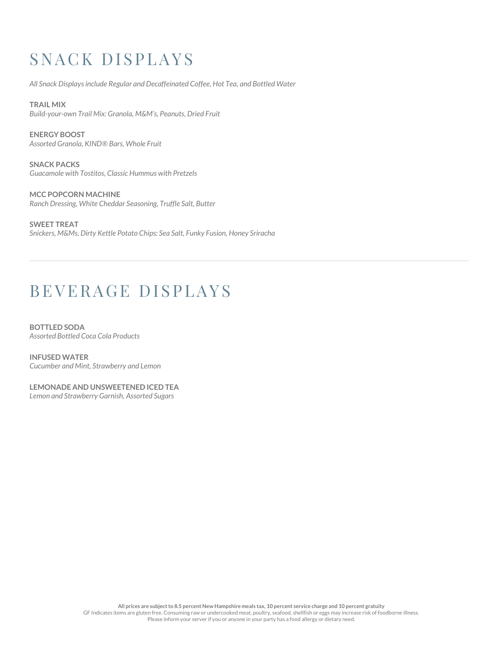# SNACK DISPLAYS

*All Snack Displays include Regular and Decaffeinated Coffee, Hot Tea, and Bottled Water*

**TRAIL MIX** *Build-your-own Trail Mix: Granola, M&M's, Peanuts, Dried Fruit*

**ENERGY BOOST** *Assorted Granola, KIND® Bars, Whole Fruit*

**SNACK PACKS**  *Guacamole with Tostitos, Classic Hummus with Pretzels* 

**MCC POPCORN MACHINE**  *Ranch Dressing, White Cheddar Seasoning, Truffle Salt, Butter*

**SWEET TREAT**  *Snickers, M&Ms, Dirty Kettle Potato Chips: Sea Salt, Funky Fusion, Honey Sriracha* 

## B E VERAGE DISPLAYS

**BOTTLED SODA**  *Assorted Bottled Coca Cola Products*

**INFUSED WATER** *Cucumber and Mint, Strawberry and Lemon*

**LEMONADE AND UNSWEETENED ICED TEA** *Lemon and Strawberry Garnish, Assorted Sugars*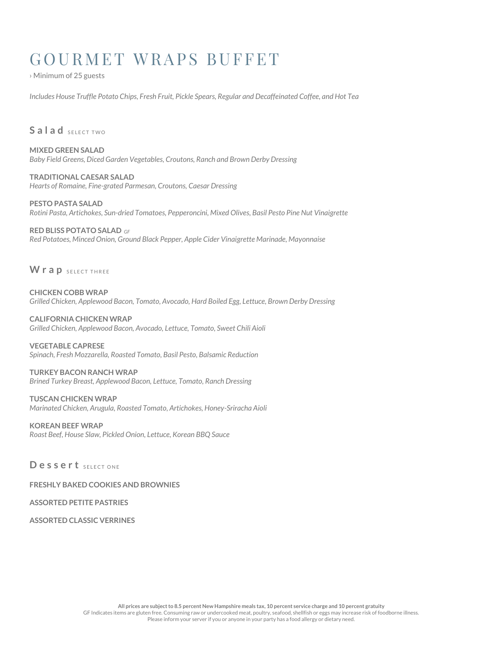# GOURMET WRAPS BUFFET

› Minimum of 25 guests

*Includes House Truffle Potato Chips, Fresh Fruit, Pickle Spears, Regular and Decaffeinated Coffee, and Hot Tea*

### Salad SELECT TWO

**MIXED GREEN SALAD** *Baby Field Greens, Diced Garden Vegetables, Croutons, Ranch and Brown Derby Dressing*

**TRADITIONAL CAESAR SALAD** *Hearts of Romaine, Fine-grated Parmesan, Croutons, Caesar Dressing*

**PESTO PASTA SALAD** *Rotini Pasta, Artichokes, Sun-dried Tomatoes, Pepperoncini, Mixed Olives, Basil Pesto Pine Nut Vinaigrette*

**RED BLISS POTATO SALAD** *GF Red Potatoes, Minced Onion, Ground Black Pepper, Apple Cider Vinaigrette Marinade, Mayonnaise* 

**W r a p** SELECT THREE

**CHICKEN COBB WRAP**  *Grilled Chicken, Applewood Bacon, Tomato, Avocado, Hard Boiled Egg, Lettuce, Brown Derby Dressing*

**CALIFORNIA CHICKEN WRAP**  *Grilled Chicken, Applewood Bacon, Avocado, Lettuce, Tomato, Sweet Chili Aioli*

**VEGETABLE CAPRESE** *Spinach, Fresh Mozzarella, Roasted Tomato, Basil Pesto, Balsamic Reduction*

## **TURKEY BACON RANCH WRAP**

*Brined Turkey Breast, Applewood Bacon, Lettuce, Tomato, Ranch Dressing*

**TUSCAN CHICKEN WRAP** *Marinated Chicken, Arugula, Roasted Tomato, Artichokes, Honey-Sriracha Aioli*

**KOREAN BEEF WRAP** *Roast Beef, House Slaw, Pickled Onion, Lettuce, Korean BBQ Sauce*

D e s s e r t SELECT ONE

**FRESHLY BAKED COOKIES AND BROWNIES**

**ASSORTED PETITE PASTRIES**

**ASSORTED CLASSIC VERRINES**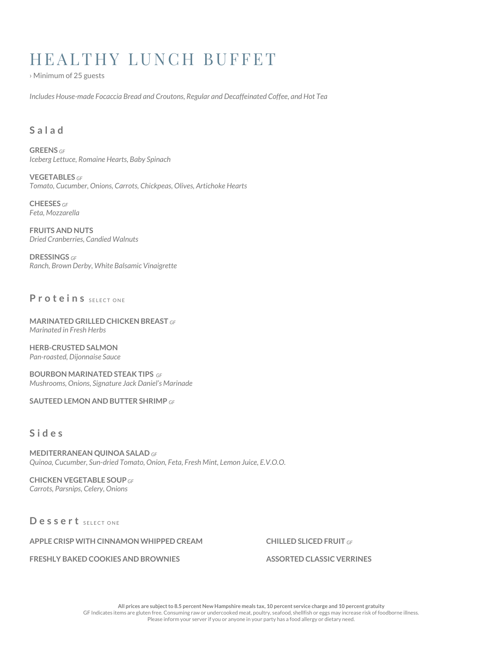# HEALTHY LUNCH BUFFET

› Minimum of 25 guests

*Includes House-made Focaccia Bread and Croutons, Regular and Decaffeinated Coffee, and Hot Tea* 

## **S a l a d**

**GREENS** *GF Iceberg Lettuce, Romaine Hearts, Baby Spinach*

**VEGETABLES** *GF Tomato, Cucumber, Onions, Carrots, Chickpeas, Olives, Artichoke Hearts*

**CHEESES** *GF Feta, Mozzarella*

**FRUITS AND NUTS**  *Dried Cranberries, Candied Walnuts* 

**DRESSINGS** *GF Ranch, Brown Derby, White Balsamic Vinaigrette* 

## **Proteins** SELECT ONE

**MARINATED GRILLED CHICKEN BREAST** *GF Marinated in Fresh Herbs*

**HERB-CRUSTED SALMON**  *Pan-roasted, Dijonnaise Sauce*

**BOURBON MARINATED STEAK TIPS** *GF Mushrooms, Onions, Signature Jack Daniel's Marinade*

**SAUTEED LEMON AND BUTTER SHRIMP** *GF*

### **S i d e s**

**MEDITERRANEAN QUINOA SALAD** *GF Quinoa, Cucumber, Sun-dried Tomato, Onion, Feta, Fresh Mint, Lemon Juice, E.V.O.O.*

**CHICKEN VEGETABLE SOUP** *GF Carrots, Parsnips, Celery, Onions*

Dessert SELECT ONE

**APPLE CRISP WITH CINNAMON WHIPPED CREAM**

**FRESHLY BAKED COOKIES AND BROWNIES**

**CHILLED SLICED FRUIT** *GF*

**ASSORTED CLASSIC VERRINES**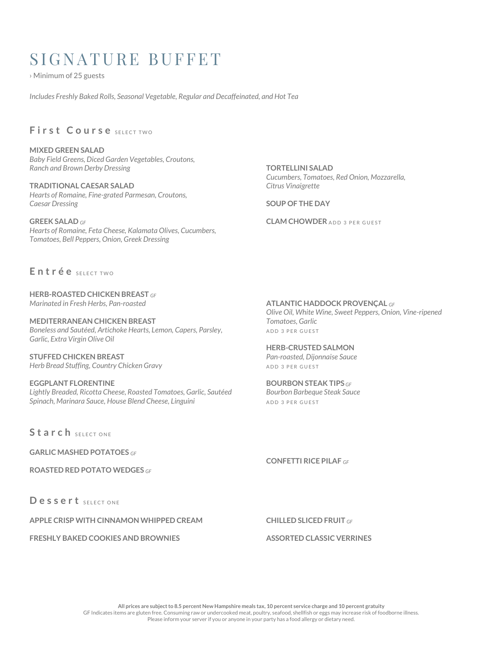## SIGNATURE BUFFET

› Minimum of 25 guests

*Includes Freshly Baked Rolls, Seasonal Vegetable, Regular and Decaffeinated, and Hot Tea*

## First Course SELECT TWO

**MIXED GREEN SALAD** *Baby Field Greens, Diced Garden Vegetables, Croutons, Ranch and Brown Derby Dressing*

**TRADITIONAL CAESAR SALAD**  *Hearts of Romaine, Fine-grated Parmesan, Croutons, Caesar Dressing*

**GREEK SALAD** *GF Hearts of Romaine, Feta Cheese, Kalamata Olives, Cucumbers, Tomatoes, Bell Peppers, Onion, Greek Dressing*

**TORTELLINI SALAD**  *Cucumbers, Tomatoes, Red Onion, Mozzarella, Citrus Vinaigrette* 

**SOUP OF THE DAY**

**CLAM CHOWDER** ADD 3 PER GUEST

Entrée SELECTIVO

**HERB-ROASTED CHICKEN BREAST** *GF Marinated in Fresh Herbs, Pan-roasted*

**MEDITERRANEAN CHICKEN BREAST**  *Boneless and Sautéed, Artichoke Hearts, Lemon, Capers, Parsley, Garlic, Extra Virgin Olive Oil* 

**STUFFED CHICKEN BREAST** *Herb Bread Stuffing, Country Chicken Gravy*

**EGGPLANT FLORENTINE** *Lightly Breaded, Ricotta Cheese, Roasted Tomatoes, Garlic, Sautéed Spinach, Marinara Sauce, House Blend Cheese, Linguini* 

Starch SELECT ONE

**GARLIC MASHED POTATOES** *GF*

**ROASTED RED POTATO WEDGES** *GF*

D e s s e r t SELECT ONE

**APPLE CRISP WITH CINNAMON WHIPPED CREAM**

**FRESHLY BAKED COOKIES AND BROWNIES**

**ATLANTIC HADDOCK PROVENÇAL** *GF Olive Oil, White Wine, Sweet Peppers, Onion, Vine-ripened Tomatoes, Garlic*  ADD 3 PER GUEST

#### **HERB-CRUSTED SALMON** *Pan-roasted, Dijonnaise Sauce*

ADD 3 PER GUEST

**BOURBON STEAK TIPS** *GF Bourbon Barbeque Steak Sauce* ADD 3 PER GUEST

**CONFETTI RICE PILAF** *GF*

**CHILLED SLICED FRUIT** *GF*

#### **ASSORTED CLASSIC VERRINES**

**All prices are subject to 8.5 percent New Hampshire meals tax, 10 percent service charge and 10 percent gratuity** GF Indicates items are gluten free. Consuming raw or undercooked meat, poultry, seafood, shellfish or eggs may increase risk of foodborne illness. Please inform your server if you or anyone in your party has a food allergy or dietary need.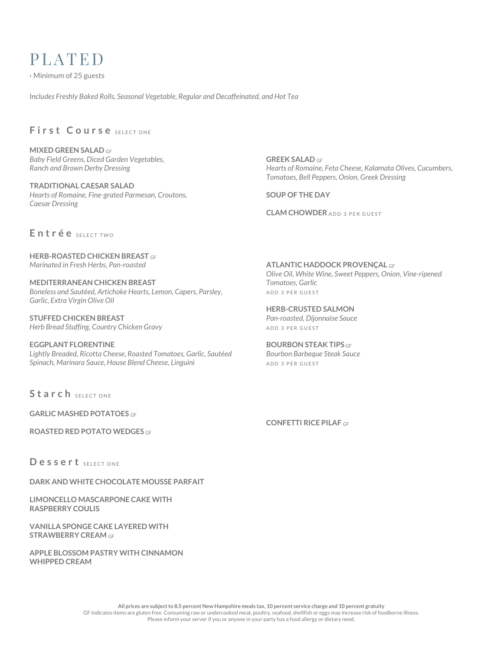## PLATED

› Minimum of 25 guests

*Includes Freshly Baked Rolls, Seasonal Vegetable, Regular and Decaffeinated, and Hot Tea*

## First Course SELECT ONE

**MIXED GREEN SALAD** *GF Baby Field Greens, Diced Garden Vegetables, Ranch and Brown Derby Dressing*

**TRADITIONAL CAESAR SALAD** *Hearts of Romaine, Fine-grated Parmesan, Croutons, Caesar Dressing*

**GREEK SALAD** *GF Hearts of Romaine, Feta Cheese, Kalamata Olives, Cucumbers, Tomatoes, Bell Peppers, Onion, Greek Dressing*

**SOUP OF THE DAY**

**CLAM CHOWDER** ADD 3 PER GUEST

Entrée SELECTIVO

**HERB-ROASTED CHICKEN BREAST** *GF Marinated in Fresh Herbs, Pan-roasted*

**MEDITERRANEAN CHICKEN BREAST**  *Boneless and Sautéed, Artichoke Hearts, Lemon, Capers, Parsley, Garlic, Extra Virgin Olive Oil* 

**STUFFED CHICKEN BREAST** *Herb Bread Stuffing, Country Chicken Gravy*

**EGGPLANT FLORENTINE** *Lightly Breaded, Ricotta Cheese, Roasted Tomatoes, Garlic, Sautéed Spinach, Marinara Sauce, House Blend Cheese, Linguini* 

**ATLANTIC HADDOCK PROVENÇAL** *GF Olive Oil, White Wine, Sweet Peppers, Onion, Vine-ripened Tomatoes, Garlic*  ADD 3 PER GUEST

**HERB-CRUSTED SALMON** *Pan-roasted, Dijonnaise Sauce* ADD 3 PER GUEST

**BOURBON STEAK TIPS** *GF Bourbon Barbeque Steak Sauce* ADD 3 PER GUEST

Starch SELECT ONE

**GARLIC MASHED POTATOES** *GF*

**ROASTED RED POTATO WEDGES** *GF*

**CONFETTI RICE PILAF** *GF*

Dessert SELECT ONE

**DARK AND WHITE CHOCOLATE MOUSSE PARFAIT**

**LIMONCELLO MASCARPONE CAKE WITH RASPBERRY COULIS**

**VANILLA SPONGE CAKE LAYERED WITH STRAWBERRY CREAM** *GF*

**APPLE BLOSSOM PASTRY WITH CINNAMON WHIPPED CREAM**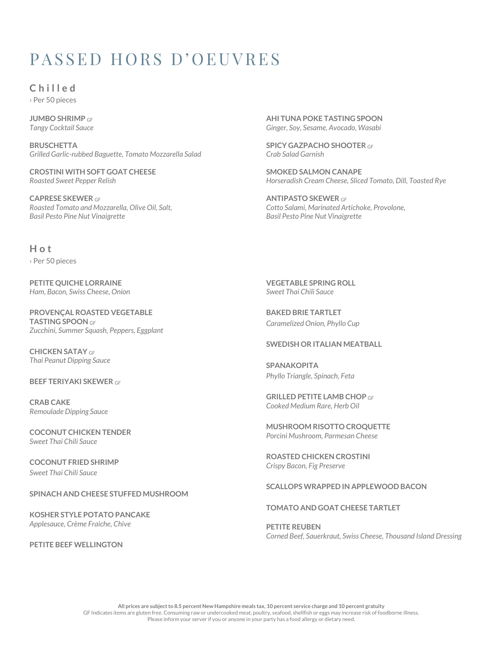# PASSED HORS D'OEUVRES

**C h i l l e d** › Per 50 pieces

**JUMBO SHRIMP** *GF Tangy Cocktail Sauce*

**BRUSCHETTA** *Grilled Garlic-rubbed Baguette, Tomato Mozzarella Salad*

**CROSTINI WITH SOFT GOAT CHEESE** *Roasted Sweet Pepper Relish*

**CAPRESE SKEWER** *GF Roasted Tomato and Mozzarella, Olive Oil, Salt, Basil Pesto Pine Nut Vinaigrette*

**AHI TUNA POKE TASTING SPOON** *Ginger, Soy, Sesame, Avocado, Wasabi*

**SPICY GAZPACHO SHOOTER** *GF Crab Salad Garnish*

**SMOKED SALMON CANAPE** *Horseradish Cream Cheese, Sliced Tomato, Dill, Toasted Rye*

**ANTIPASTO SKEWER** *GF Cotto Salami, Marinated Artichoke, Provolone, Basil Pesto Pine Nut Vinaigrette*

**H o t** › Per 50 pieces

**PETITE QUICHE LORRAINE** *Ham, Bacon, Swiss Cheese, Onion*

**PROVENÇAL ROASTED VEGETABLE TASTING SPOON** *GF Zucchini, Summer Squash, Peppers, Eggplant*

**CHICKEN SATAY** *GF Thai Peanut Dipping Sauce*

**BEEF TERIYAKI SKEWER** *GF*

**CRAB CAKE** *Remoulade Dipping Sauce*

**COCONUT CHICKEN TENDER** *Sweet Thai Chili Sauce*

**COCONUT FRIED SHRIMP** *Sweet Thai Chili Sauce*

**SPINACH AND CHEESE STUFFED MUSHROOM**

**KOSHER STYLE POTATO PANCAKE** *Applesauce, Crème Fraiche, Chive*

**PETITE BEEF WELLINGTON**

**VEGETABLE SPRING ROLL** *Sweet Thai Chili Sauce*

**BAKED BRIE TARTLET** *Caramelized Onion, Phyllo Cup*

#### **SWEDISH OR ITALIAN MEATBALL**

**SPANAKOPITA** *Phyllo Triangle, Spinach, Feta*

**GRILLED PETITE LAMB CHOP** *GF Cooked Medium Rare, Herb Oil*

**MUSHROOM RISOTTO CROQUETTE** *Porcini Mushroom, Parmesan Cheese*

**ROASTED CHICKEN CROSTINI** *Crispy Bacon, Fig Preserve*

#### **SCALLOPS WRAPPED IN APPLEWOOD BACON**

#### **TOMATO AND GOAT CHEESE TARTLET**

**PETITE REUBEN** *Corned Beef, Sauerkraut, Swiss Cheese, Thousand Island Dressing*

**All prices are subject to 8.5 percent New Hampshire meals tax, 10 percent service charge and 10 percent gratuity** GF Indicates items are gluten free. Consuming raw or undercooked meat, poultry, seafood, shellfish or eggs may increase risk of foodborne illness. Please inform your server if you or anyone in your party has a food allergy or dietary need.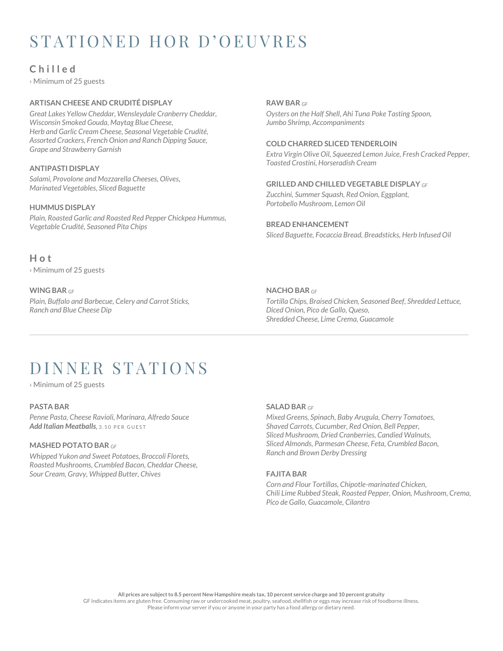# STATIONED HOR D'OEUVRES

## **C h i l l e d**

› Minimum of 25 guests

#### **ARTISAN CHEESE AND CRUDITÉ DISPLAY**

*Great Lakes Yellow Cheddar, Wensleydale Cranberry Cheddar, Wisconsin Smoked Gouda, Maytag Blue Cheese, Herb and Garlic Cream Cheese, Seasonal Vegetable Crudité, Assorted Crackers, French Onion and Ranch Dipping Sauce, Grape and Strawberry Garnish*

#### **ANTIPASTI DISPLAY**

*Salami, Provolone and Mozzarella Cheeses, Olives, Marinated Vegetables, Sliced Baguette* 

#### **HUMMUS DISPLAY**

*Plain, Roasted Garlic and Roasted Red Pepper Chickpea Hummus, Vegetable Crudité, Seasoned Pita Chips* 

## **RAW BAR** *GF*

*Oysters on the Half Shell, Ahi Tuna Poke Tasting Spoon, Jumbo Shrimp, Accompaniments* 

#### **COLD CHARRED SLICED TENDERLOIN**

*Extra Virgin Olive Oil, Squeezed Lemon Juice, Fresh Cracked Pepper, Toasted Crostini, Horseradish Cream* 

#### **GRILLED AND CHILLED VEGETABLE DISPLAY** *GF*

*Zucchini, Summer Squash, Red Onion, Eggplant, Portobello Mushroom, Lemon Oil*

#### **BREAD ENHANCEMENT** *Sliced Baguette, Focaccia Bread, Breadsticks, Herb Infused Oil*

#### **H o t**

› Minimum of 25 guests

#### **WING BAR** *GF*

*Plain, Buffalo and Barbecue, Celery and Carrot Sticks, Ranch and Blue Cheese Dip* 

#### **NACHO BAR** *GF*

*Tortilla Chips, Braised Chicken, Seasoned Beef, Shredded Lettuce, Diced Onion, Pico de Gallo, Queso, Shredded Cheese, Lime Crema, Guacamole*

## DINNER STATIONS

› Minimum of 25 guests

#### **PASTA BAR**

*Penne Pasta, Cheese Ravioli, Marinara, Alfredo Sauce Add Italian Meatballs*, 3, 50 PER GUEST

#### **MASHED POTATO BAR** *GF*

*Whipped Yukon and Sweet Potatoes, Broccoli Florets, Roasted Mushrooms, Crumbled Bacon, Cheddar Cheese, Sour Cream, Gravy, Whipped Butter, Chives* 

#### **SALAD BAR** *GF*

*Mixed Greens, Spinach, Baby Arugula, Cherry Tomatoes, Shaved Carrots, Cucumber, Red Onion, Bell Pepper, Sliced Mushroom, Dried Cranberries, Candied Walnuts, Sliced Almonds, Parmesan Cheese, Feta, Crumbled Bacon, Ranch and Brown Derby Dressing*

#### **FAJITA BAR**

*Corn and Flour Tortillas, Chipotle-marinated Chicken, Chili Lime Rubbed Steak, Roasted Pepper, Onion, Mushroom, Crema, Pico de Gallo, Guacamole, Cilantro*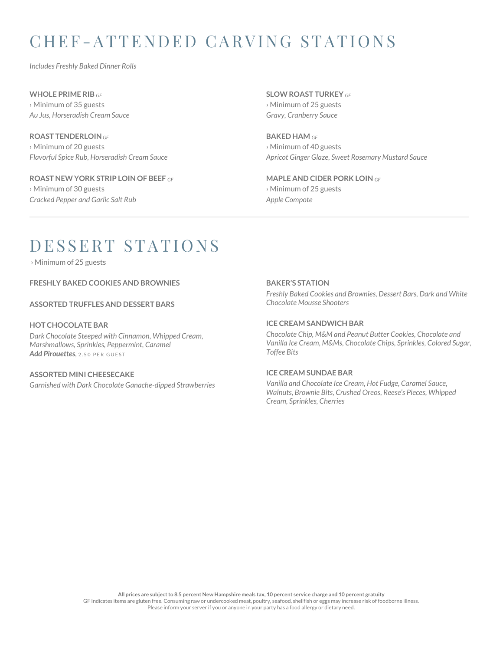# C H E F -A T T E N D E D C A R V I N G S T A T I O N S

*Includes Freshly Baked Dinner Rolls*

**WHOLE PRIME RIB** *GF* › Minimum of 35 guests *Au Jus, Horseradish Cream Sauce* 

**ROAST TENDERLOIN***GF* › Minimum of 20 guests *Flavorful Spice Rub, Horseradish Cream Sauce*

**ROAST NEW YORK STRIP LOIN OF BEEF** *GF* › Minimum of 30 guests *Cracked Pepper and Garlic Salt Rub*

**SLOW ROAST TURKEY** *GF* › Minimum of 25 guests *Gravy, Cranberry Sauce*

**BAKED HAM** *GF* › Minimum of 40 guests *Apricot Ginger Glaze, Sweet Rosemary Mustard Sauce*

**MAPLE AND CIDER PORK LOIN** *GF* › Minimum of 25 guests *Apple Compote*

# DESSERT STATIONS

› Minimum of 25 guests

**FRESHLY BAKED COOKIES AND BROWNIES** 

**ASSORTED TRUFFLES AND DESSERT BARS**

#### **HOT CHOCOLATE BAR**

*Dark Chocolate Steeped with Cinnamon, Whipped Cream, Marshmallows, Sprinkles, Peppermint, Caramel Add Pirouettes*, 2.50 PER GUEST

#### **ASSORTED MINI CHEESECAKE**

*Garnished with Dark Chocolate Ganache-dipped Strawberries*

#### **BAKER'S STATION**

*Freshly Baked Cookies and Brownies, Dessert Bars, Dark and White Chocolate Mousse Shooters*

#### **ICE CREAM SANDWICH BAR**

*Chocolate Chip, M&M and Peanut Butter Cookies, Chocolate and Vanilla Ice Cream, M&Ms, Chocolate Chips, Sprinkles, Colored Sugar, Toffee Bits* 

#### **ICE CREAM SUNDAE BAR**

*Vanilla and Chocolate Ice Cream, Hot Fudge, Caramel Sauce, Walnuts, Brownie Bits, Crushed Oreos, Reese's Pieces, Whipped Cream, Sprinkles, Cherries*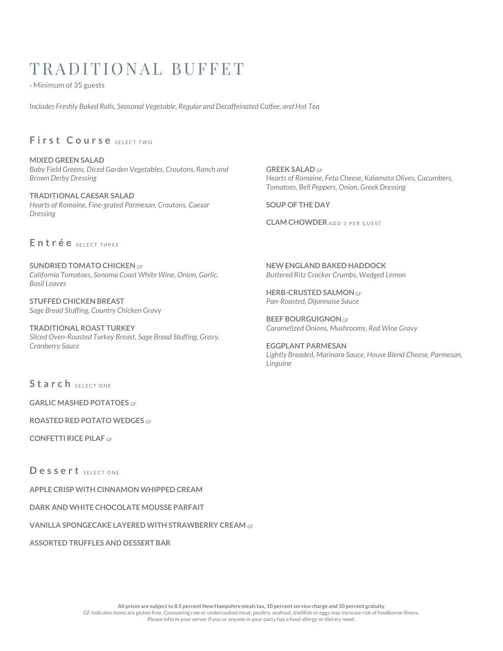# TRADITIONAL BUFFET

› Minimum of 35 guests

*Includes Freshly Baked Rolls, Seasonal Vegetable, Regular and Decaffeinated Coffee, and Hot Tea*

## **First Course** SELECT TWO

**MIXED GREEN SALAD** *Baby Field Greens, Diced Garden Vegetables, Croutons, Ranch and Brown Derby Dressing*

**TRADITIONAL CAESAR SALAD** *Hearts of Romaine, Fine-grated Parmesan, Croutons, Caesar Dressing*

#### Entrée SELECT THREE

**SUNDRIED TOMATO CHICKEN** *GF California Tomatoes, Sonoma Coast White Wine, Onion, Garlic, Basil Leaves*

**STUFFED CHICKEN BREAST** *Sage Bread Stuffing, Country Chicken Gravy*

**TRADITIONAL ROAST TURKEY** *Sliced Oven-Roasted Turkey Breast, Sage Bread Stuffing, Gravy, Cranberry Sauce*

**GREEK SALAD** *GF Hearts of Romaine, Feta Cheese, Kalamata Olives, Cucumbers, Tomatoes, Bell Peppers, Onion, Greek Dressing*

**SOUP OF THE DAY**

**CLAM CHOWDER** ADD 3 PER GUEST

**NEW ENGLAND BAKED HADDOCK** *Buttered Ritz Cracker Crumbs, Wedged Lemon*

**HERB-CRUSTED SALMON***GF Pan-Roasted, Dijonnaise Sauce*

**BEEF BOURGUIGNON***GF Caramelized Onions, Mushrooms, Red Wine Gravy*

**EGGPLANT PARMESAN** *Lightly Breaded, Marinara Sauce, House Blend Cheese, Parmesan, Linguine* 

Starch SELECT ONE

**GARLIC MASHED POTATOES** *GF*

**ROASTED RED POTATO WEDGES** *GF*

**CONFETTI RICE PILAF** *GF*

Dessert SELECT ONE

**APPLE CRISP WITH CINNAMON WHIPPED CREAM**

**DARK AND WHITE CHOCOLATE MOUSSE PARFAIT**

**VANILLA SPONGECAKE LAYERED WITH STRAWBERRY CREAM** *GF*

**ASSORTED TRUFFLES AND DESSERT BAR**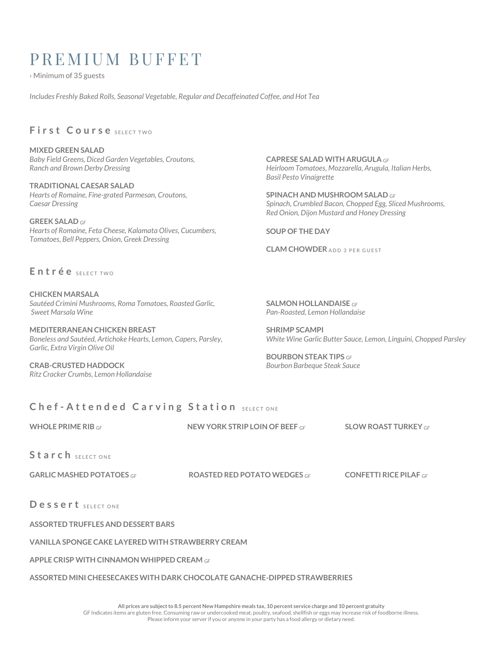## PREMIUM BUFFET

› Minimum of 35 guests

*Includes Freshly Baked Rolls, Seasonal Vegetable, Regular and Decaffeinated Coffee, and Hot Tea*

## First Course SELECT TWO

**MIXED GREEN SALAD**  *Baby Field Greens, Diced Garden Vegetables, Croutons, Ranch and Brown Derby Dressing*

**TRADITIONAL CAESAR SALAD**  *Hearts of Romaine, Fine-grated Parmesan, Croutons, Caesar Dressing*

**GREEK SALAD** *GF Hearts of Romaine, Feta Cheese, Kalamata Olives, Cucumbers, Tomatoes, Bell Peppers, Onion, Greek Dressing*

**CAPRESE SALAD WITH ARUGULA** *GF Heirloom Tomatoes, Mozzarella, Arugula, Italian Herbs, Basil Pesto Vinaigrette*

**SPINACH AND MUSHROOM SALAD** *GF Spinach, Crumbled Bacon, Chopped Egg, Sliced Mushrooms, Red Onion, Dijon Mustard and Honey Dressing* 

**SOUP OF THE DAY**

**CLAM CHOWDER ADD 3 PER GUEST** 

Entrée SELECTIVO

**CHICKEN MARSALA** *Sautéed Crimini Mushrooms, Roma Tomatoes, Roasted Garlic, Sweet Marsala Wine*

**MEDITERRANEAN CHICKEN BREAST** *Boneless and Sautéed, Artichoke Hearts, Lemon, Capers, Parsley, Garlic, Extra Virgin Olive Oil*

**CRAB-CRUSTED HADDOCK** *Ritz Cracker Crumbs, Lemon Hollandaise* **SALMON HOLLANDAISE** *GF Pan-Roasted, Lemon Hollandaise* 

**SHRIMP SCAMPI** *White Wine Garlic Butter Sauce, Lemon, Linguini, Chopped Parsley*

**BOURBON STEAK TIPS** *GF Bourbon Barbeque Steak Sauce*

### **Chef-Attended Carving Station SELECT ONE**

**WHOLE PRIME RIB** *GF* **NEW YORK STRIP LOIN OF BEEF** *GF* **SLOW ROAST TURKEY** *GF*

Starch SELECT ONE

**GARLIC MASHED POTATOES** *GF* **ROASTED RED POTATO WEDGES** *GF* **CONFETTI RICE PILAF** *GF*

Dessert SELECT ONE

**ASSORTED TRUFFLES AND DESSERT BARS**

#### **VANILLA SPONGE CAKE LAYERED WITH STRAWBERRY CREAM**

**APPLE CRISP WITH CINNAMON WHIPPED CREAM** *GF*

#### **ASSORTED MINI CHEESECAKES WITH DARK CHOCOLATE GANACHE-DIPPED STRAWBERRIES**